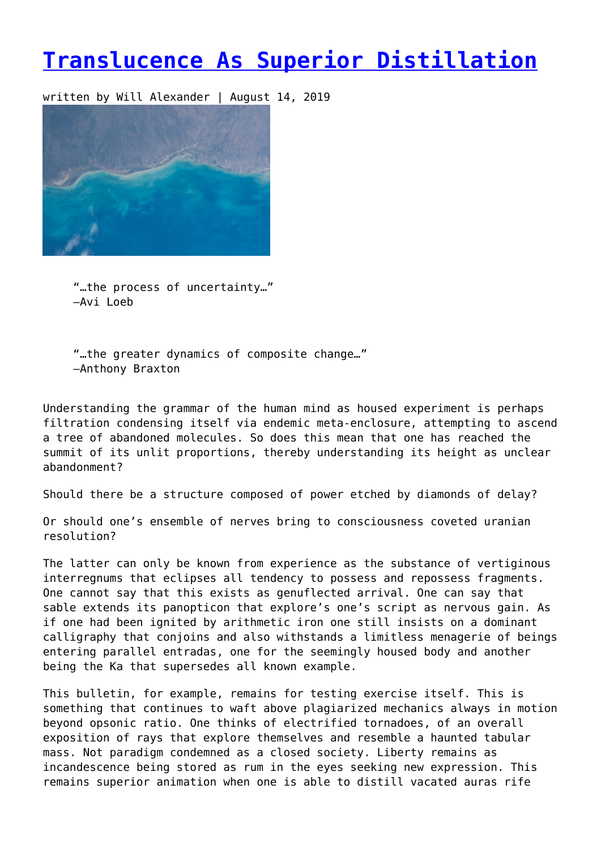## **[Translucence As Superior Distillation](https://entropymag.org/translucence-as-superior-distillation/)**

written by Will Alexander | August 14, 2019



"…the process of uncertainty…" –Avi Loeb

"…the greater dynamics of composite change…" –Anthony Braxton

Understanding the grammar of the human mind as housed experiment is perhaps filtration condensing itself via endemic meta-enclosure, attempting to ascend a tree of abandoned molecules. So does this mean that one has reached the summit of its unlit proportions, thereby understanding its height as unclear abandonment?

Should there be a structure composed of power etched by diamonds of delay?

Or should one's ensemble of nerves bring to consciousness coveted uranian resolution?

The latter can only be known from experience as the substance of vertiginous interregnums that eclipses all tendency to possess and repossess fragments. One cannot say that this exists as genuflected arrival. One can say that sable extends its panopticon that explore's one's script as nervous gain. As if one had been ignited by arithmetic iron one still insists on a dominant calligraphy that conjoins and also withstands a limitless menagerie of beings entering parallel entradas, one for the seemingly housed body and another being the Ka that supersedes all known example.

This bulletin, for example, remains for testing exercise itself. This is something that continues to waft above plagiarized mechanics always in motion beyond opsonic ratio. One thinks of electrified tornadoes, of an overall exposition of rays that explore themselves and resemble a haunted tabular mass. Not paradigm condemned as a closed society. Liberty remains as incandescence being stored as rum in the eyes seeking new expression. This remains superior animation when one is able to distill vacated auras rife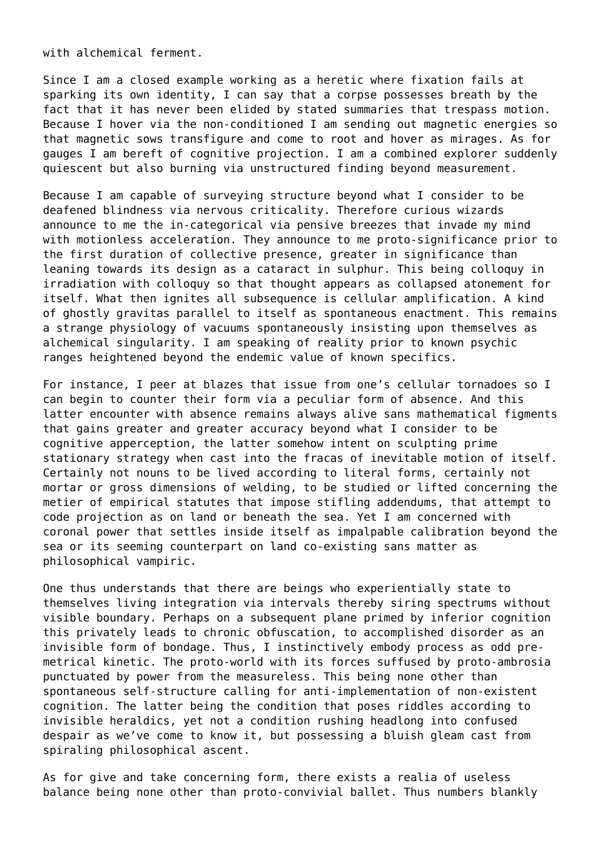with alchemical ferment.

Since I am a closed example working as a heretic where fixation fails at sparking its own identity, I can say that a corpse possesses breath by the fact that it has never been elided by stated summaries that trespass motion. Because I hover via the non-conditioned I am sending out magnetic energies so that magnetic sows transfigure and come to root and hover as mirages. As for gauges I am bereft of cognitive projection. I am a combined explorer suddenly quiescent but also burning via unstructured finding beyond measurement.

Because I am capable of surveying structure beyond what I consider to be deafened blindness via nervous criticality. Therefore curious wizards announce to me the in-categorical via pensive breezes that invade my mind with motionless acceleration. They announce to me proto-significance prior to the first duration of collective presence, greater in significance than leaning towards its design as a cataract in sulphur. This being colloquy in irradiation with colloquy so that thought appears as collapsed atonement for itself. What then ignites all subsequence is cellular amplification. A kind of ghostly gravitas parallel to itself as spontaneous enactment. This remains a strange physiology of vacuums spontaneously insisting upon themselves as alchemical singularity. I am speaking of reality prior to known psychic ranges heightened beyond the endemic value of known specifics.

For instance, I peer at blazes that issue from one's cellular tornadoes so I can begin to counter their form via a peculiar form of absence. And this latter encounter with absence remains always alive sans mathematical figments that gains greater and greater accuracy beyond what I consider to be cognitive apperception, the latter somehow intent on sculpting prime stationary strategy when cast into the fracas of inevitable motion of itself. Certainly not nouns to be lived according to literal forms, certainly not mortar or gross dimensions of welding, to be studied or lifted concerning the metier of empirical statutes that impose stifling addendums, that attempt to code projection as on land or beneath the sea. Yet I am concerned with coronal power that settles inside itself as impalpable calibration beyond the sea or its seeming counterpart on land co-existing sans matter as philosophical vampiric.

One thus understands that there are beings who experientially state to themselves living integration via intervals thereby siring spectrums without visible boundary. Perhaps on a subsequent plane primed by inferior cognition this privately leads to chronic obfuscation, to accomplished disorder as an invisible form of bondage. Thus, I instinctively embody process as odd premetrical kinetic. The proto-world with its forces suffused by proto-ambrosia punctuated by power from the measureless. This being none other than spontaneous self-structure calling for anti-implementation of non-existent cognition. The latter being the condition that poses riddles according to invisible heraldics, yet not a condition rushing headlong into confused despair as we've come to know it, but possessing a bluish gleam cast from spiraling philosophical ascent.

As for give and take concerning form, there exists a realia of useless balance being none other than proto-convivial ballet. Thus numbers blankly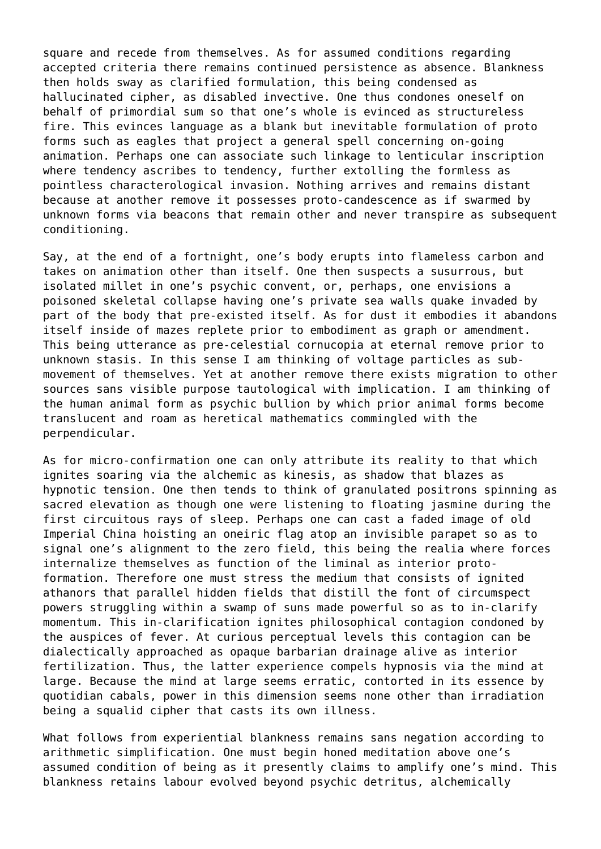square and recede from themselves. As for assumed conditions regarding accepted criteria there remains continued persistence as absence. Blankness then holds sway as clarified formulation, this being condensed as hallucinated cipher, as disabled invective. One thus condones oneself on behalf of primordial sum so that one's whole is evinced as structureless fire. This evinces language as a blank but inevitable formulation of proto forms such as eagles that project a general spell concerning on-going animation. Perhaps one can associate such linkage to lenticular inscription where tendency ascribes to tendency, further extolling the formless as pointless characterological invasion. Nothing arrives and remains distant because at another remove it possesses proto-candescence as if swarmed by unknown forms via beacons that remain other and never transpire as subsequent conditioning.

Say, at the end of a fortnight, one's body erupts into flameless carbon and takes on animation other than itself. One then suspects a susurrous, but isolated millet in one's psychic convent, or, perhaps, one envisions a poisoned skeletal collapse having one's private sea walls quake invaded by part of the body that pre-existed itself. As for dust it embodies it abandons itself inside of mazes replete prior to embodiment as graph or amendment. This being utterance as pre-celestial cornucopia at eternal remove prior to unknown stasis. In this sense I am thinking of voltage particles as submovement of themselves. Yet at another remove there exists migration to other sources sans visible purpose tautological with implication. I am thinking of the human animal form as psychic bullion by which prior animal forms become translucent and roam as heretical mathematics commingled with the perpendicular.

As for micro-confirmation one can only attribute its reality to that which ignites soaring via the alchemic as kinesis, as shadow that blazes as hypnotic tension. One then tends to think of granulated positrons spinning as sacred elevation as though one were listening to floating jasmine during the first circuitous rays of sleep. Perhaps one can cast a faded image of old Imperial China hoisting an oneiric flag atop an invisible parapet so as to signal one's alignment to the zero field, this being the realia where forces internalize themselves as function of the liminal as interior protoformation. Therefore one must stress the medium that consists of ignited athanors that parallel hidden fields that distill the font of circumspect powers struggling within a swamp of suns made powerful so as to in-clarify momentum. This in-clarification ignites philosophical contagion condoned by the auspices of fever. At curious perceptual levels this contagion can be dialectically approached as opaque barbarian drainage alive as interior fertilization. Thus, the latter experience compels hypnosis via the mind at large. Because the mind at large seems erratic, contorted in its essence by quotidian cabals, power in this dimension seems none other than irradiation being a squalid cipher that casts its own illness.

What follows from experiential blankness remains sans negation according to arithmetic simplification. One must begin honed meditation above one's assumed condition of being as it presently claims to amplify one's mind. This blankness retains labour evolved beyond psychic detritus, alchemically